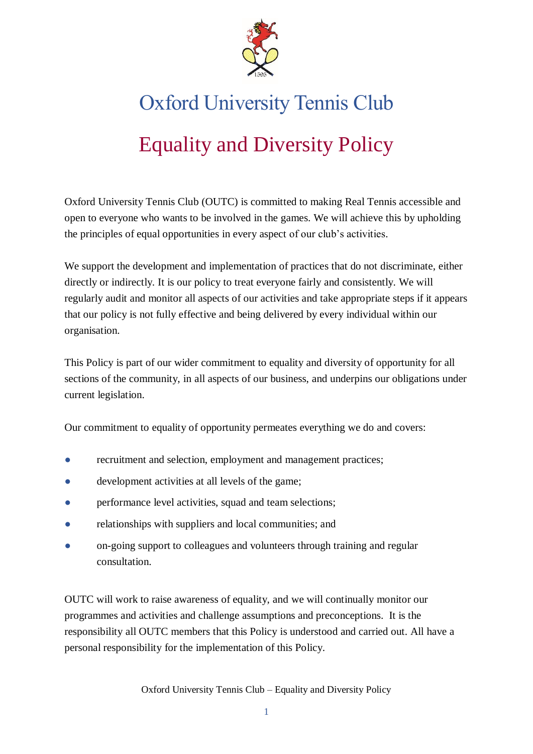

# Oxford University Tennis Club

## Equality and Diversity Policy

Oxford University Tennis Club (OUTC) is committed to making Real Tennis accessible and open to everyone who wants to be involved in the games. We will achieve this by upholding the principles of equal opportunities in every aspect of our club's activities.

We support the development and implementation of practices that do not discriminate, either directly or indirectly. It is our policy to treat everyone fairly and consistently. We will regularly audit and monitor all aspects of our activities and take appropriate steps if it appears that our policy is not fully effective and being delivered by every individual within our organisation.

This Policy is part of our wider commitment to equality and diversity of opportunity for all sections of the community, in all aspects of our business, and underpins our obligations under current legislation.

Our commitment to equality of opportunity permeates everything we do and covers:

- recruitment and selection, employment and management practices;
- development activities at all levels of the game;
- performance level activities, squad and team selections;
- relationships with suppliers and local communities; and
- on-going support to colleagues and volunteers through training and regular consultation.

OUTC will work to raise awareness of equality, and we will continually monitor our programmes and activities and challenge assumptions and preconceptions. It is the responsibility all OUTC members that this Policy is understood and carried out. All have a personal responsibility for the implementation of this Policy.

Oxford University Tennis Club – Equality and Diversity Policy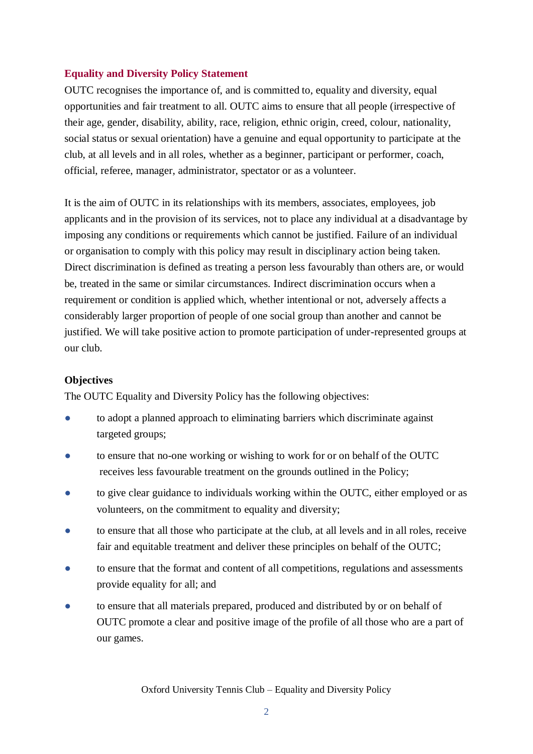## **Equality and Diversity Policy Statement**

OUTC recognises the importance of, and is committed to, equality and diversity, equal opportunities and fair treatment to all. OUTC aims to ensure that all people (irrespective of their age, gender, disability, ability, race, religion, ethnic origin, creed, colour, nationality, social status or sexual orientation) have a genuine and equal opportunity to participate at the club, at all levels and in all roles, whether as a beginner, participant or performer, coach, official, referee, manager, administrator, spectator or as a volunteer.

It is the aim of OUTC in its relationships with its members, associates, employees, job applicants and in the provision of its services, not to place any individual at a disadvantage by imposing any conditions or requirements which cannot be justified. Failure of an individual or organisation to comply with this policy may result in disciplinary action being taken. Direct discrimination is defined as treating a person less favourably than others are, or would be, treated in the same or similar circumstances. Indirect discrimination occurs when a requirement or condition is applied which, whether intentional or not, adversely affects a considerably larger proportion of people of one social group than another and cannot be justified. We will take positive action to promote participation of under-represented groups at our club.

### **Objectives**

The OUTC Equality and Diversity Policy has the following objectives:

- to adopt a planned approach to eliminating barriers which discriminate against targeted groups;
- to ensure that no-one working or wishing to work for or on behalf of the OUTC receives less favourable treatment on the grounds outlined in the Policy;
- to give clear guidance to individuals working within the OUTC, either employed or as volunteers, on the commitment to equality and diversity;
- to ensure that all those who participate at the club, at all levels and in all roles, receive fair and equitable treatment and deliver these principles on behalf of the OUTC;
- to ensure that the format and content of all competitions, regulations and assessments provide equality for all; and
- to ensure that all materials prepared, produced and distributed by or on behalf of OUTC promote a clear and positive image of the profile of all those who are a part of our games.